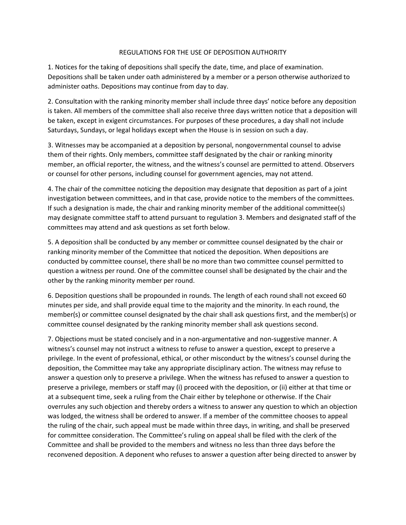## REGULATIONS FOR THE USE OF DEPOSITION AUTHORITY

1. Notices for the taking of depositions shall specify the date, time, and place of examination. Depositions shall be taken under oath administered by a member or a person otherwise authorized to administer oaths. Depositions may continue from day to day.

2. Consultation with the ranking minority member shall include three days' notice before any deposition is taken. All members of the committee shall also receive three days written notice that a deposition will be taken, except in exigent circumstances. For purposes of these procedures, a day shall not include Saturdays, Sundays, or legal holidays except when the House is in session on such a day.

3. Witnesses may be accompanied at a deposition by personal, nongovernmental counsel to advise them of their rights. Only members, committee staff designated by the chair or ranking minority member, an official reporter, the witness, and the witness's counsel are permitted to attend. Observers or counsel for other persons, including counsel for government agencies, may not attend.

4. The chair of the committee noticing the deposition may designate that deposition as part of a joint investigation between committees, and in that case, provide notice to the members of the committees. If such a designation is made, the chair and ranking minority member of the additional committee(s) may designate committee staff to attend pursuant to regulation 3. Members and designated staff of the committees may attend and ask questions as set forth below.

5. A deposition shall be conducted by any member or committee counsel designated by the chair or ranking minority member of the Committee that noticed the deposition. When depositions are conducted by committee counsel, there shall be no more than two committee counsel permitted to question a witness per round. One of the committee counsel shall be designated by the chair and the other by the ranking minority member per round.

6. Deposition questions shall be propounded in rounds. The length of each round shall not exceed 60 minutes per side, and shall provide equal time to the majority and the minority. In each round, the member(s) or committee counsel designated by the chair shall ask questions first, and the member(s) or committee counsel designated by the ranking minority member shall ask questions second.

7. Objections must be stated concisely and in a non-argumentative and non-suggestive manner. A witness's counsel may not instruct a witness to refuse to answer a question, except to preserve a privilege. In the event of professional, ethical, or other misconduct by the witness's counsel during the deposition, the Committee may take any appropriate disciplinary action. The witness may refuse to answer a question only to preserve a privilege. When the witness has refused to answer a question to preserve a privilege, members or staff may (i) proceed with the deposition, or (ii) either at that time or at a subsequent time, seek a ruling from the Chair either by telephone or otherwise. If the Chair overrules any such objection and thereby orders a witness to answer any question to which an objection was lodged, the witness shall be ordered to answer. If a member of the committee chooses to appeal the ruling of the chair, such appeal must be made within three days, in writing, and shall be preserved for committee consideration. The Committee's ruling on appeal shall be filed with the clerk of the Committee and shall be provided to the members and witness no less than three days before the reconvened deposition. A deponent who refuses to answer a question after being directed to answer by